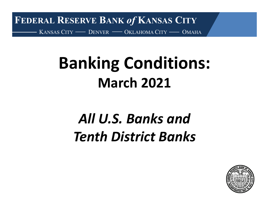**FEDERAL RESERVE BANK** *of* **KANSAS CITY** KANSAS CITY —— DENVER —— OKLAHOMA CITY —— OMAHA

# **Banking Conditions: March 2021**

# *All U.S. Banks andTenth District Banks*

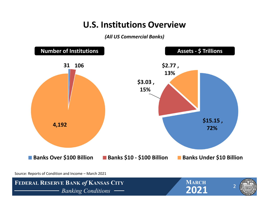### **U.S. Institutions Overview**

*(All US Commercial Banks)*

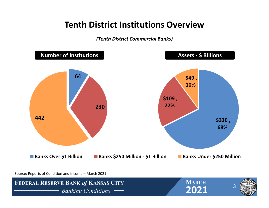### **Tenth District Institutions Overview**

#### *(Tenth District Commercial Banks)*

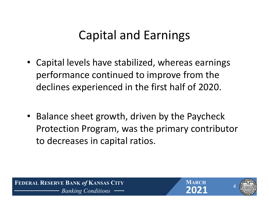# Capital and Earnings

- Capital levels have stabilized, whereas earnings performance continued to improve from the declines experienced in the first half of 2020.
- Balance sheet growth, driven by the Paycheck Protection Program, was the primary contributor to decreases in capital ratios.

 **FEDERAL RESERVE BANK** *of* **KANSAS CITY** *Banking Conditions* **2021**



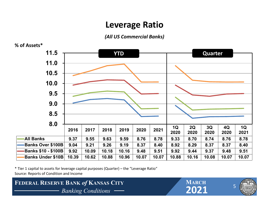### **Leverage Ratio**

*(All US Commercial Banks)*



\* Tier 1 capital to assets for leverage capital purposes (Quarter) – the "Leverage Ratio" Source: Reports of Condition and Income

**FEDERAL RESERVE BANK of KANSAS CITY**<br> **FEDERAL RESERVE BANK** of **KANSAS CITY**<br> **PARKING** Conditions — **PARKING** 2021 *Banking Conditions* **2021**



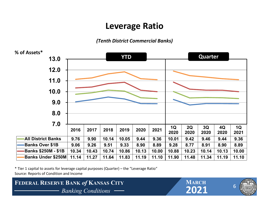### **Leverage Ratio**

#### *(Tenth District Commercial Banks)*



\* Tier 1 capital to assets for leverage capital purposes (Quarter) – the "Leverage Ratio" Source: Reports of Condition and Income

**FEDERAL RESERVE BANK of KANSAS CITY**<br> **FEDERAL RESERVE BANK** of **KANSAS CITY**<br> **PARKING** Conditions — **PARKING** 2021 *Banking Conditions* **2021**



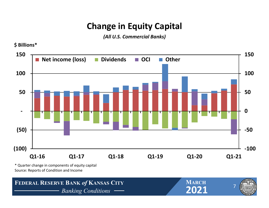# **Change in Equity Capital**

*(All U.S. Commercial Banks)*



\* Quarter change in components of equity capital Source: Reports of Condition and Income

**\$ Billions\***

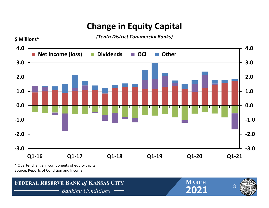# **Change in Equity Capital**

*(Tenth District Commercial Banks)*



Source: Reports of Condition and Income

**\$ Millions\***

8**FEDERAL RESERVE BANK of KANSAS CITY**<br> **FEDERAL RESERVE BANK** of **KANSAS CITY**<br> **PARKING** Conditions — **PARKING** 2021 *Banking Conditions* **2021 MARCH**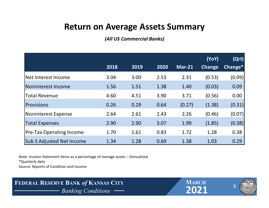### **Return on Average Assets Summary**

*(All US Commercial Banks)*

|                                  |      |      |      |          | (YoY)         | (Qrt)   |
|----------------------------------|------|------|------|----------|---------------|---------|
|                                  | 2018 | 2019 | 2020 | $Mar-21$ | <b>Change</b> | Change* |
| Net Interest Income              | 3.04 | 3.00 | 2.53 | 2.31     | (0.53)        | (0.09)  |
| Noninterest Income               | 1.56 | 1.51 | 1.38 | 1.40     | (0.03)        | 0.09    |
| <b>Total Revenue</b>             | 4.60 | 4.51 | 3.90 | 3.71     | (0.56)        | 0.00    |
| Provisions                       | 0.26 | 0.29 | 0.64 | (0.27)   | (1.38)        | (0.31)  |
| Noninterest Expense              | 2.64 | 2.61 | 2.43 | 2.26     | (0.46)        | (0.07)  |
| <b>Total Expenses</b>            | 2.90 | 2.90 | 3.07 | 1.99     | (1.85)        | (0.38)  |
| <b>Pre-Tax Operating Income</b>  | 1.70 | 1.61 | 0.83 | 1.72     | 1.28          | 0.38    |
| <b>Sub S Adjusted Net Income</b> | 1.34 | 1.28 | 0.69 | 1.38     | 1.03          | 0.29    |

Note: Income Statement items as <sup>a</sup> percentage of average assets – Annualized \*Quarterly data Source: Reports of Condition and Income

**FEDERAL RESERVE BANK of KANSAS CITY**<br> **FEDERAL RESERVE BANK** of **KANSAS CITY**<br> **PARKING** *Banking Conditions Banking Conditions* **2021**





9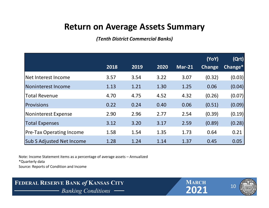### **Return on Average Assets Summary**

*(Tenth District Commercial Banks)*

|                                  |      |      |      |               | (YoY)         | (Qrt)   |
|----------------------------------|------|------|------|---------------|---------------|---------|
|                                  | 2018 | 2019 | 2020 | <b>Mar-21</b> | <b>Change</b> | Change* |
| Net Interest Income              | 3.57 | 3.54 | 3.22 | 3.07          | (0.32)        | (0.03)  |
| Noninterest Income               | 1.13 | 1.21 | 1.30 | 1.25          | 0.06          | (0.04)  |
| <b>Total Revenue</b>             | 4.70 | 4.75 | 4.52 | 4.32          | (0.26)        | (0.07)  |
| Provisions                       | 0.22 | 0.24 | 0.40 | 0.06          | (0.51)        | (0.09)  |
| Noninterest Expense              | 2.90 | 2.96 | 2.77 | 2.54          | (0.39)        | (0.19)  |
| <b>Total Expenses</b>            | 3.12 | 3.20 | 3.17 | 2.59          | (0.89)        | (0.28)  |
| <b>Pre-Tax Operating Income</b>  | 1.58 | 1.54 | 1.35 | 1.73          | 0.64          | 0.21    |
| <b>Sub S Adjusted Net Income</b> | 1.28 | 1.24 | 1.14 | 1.37          | 0.45          | 0.05    |

Note: Income Statement items as <sup>a</sup> percentage of average assets – Annualized \*Quarterly data Source: Reports of Condition and Income

**FEDERAL RESERVE BANK of KANSAS CITY**<br> **FEDERAL RESERVE BANK** of **KANSAS CITY**<br> **PARKING** Conditions — **PARKING** 2021 *Banking Conditions* **2021**





10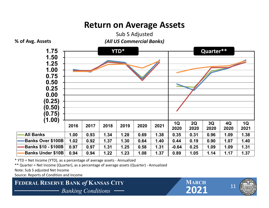### **Return on Average Assets**



Sub S Adjusted

\* YTD <sup>=</sup> Net Income (YTD), as <sup>a</sup> percentage of average assets ‐ Annualized

\*\* Quarter <sup>=</sup> Net Income (Quarter), as <sup>a</sup> percentage of average assets (Quarter) ‐ Annualized

Note: Sub S adjusted Net Income

Source: Reports of Condition and Income

**FEDERAL RESERVE BANK of KANSAS CITY**<br> **EXAMPLE 2021** *Banking Conditions* **2021**



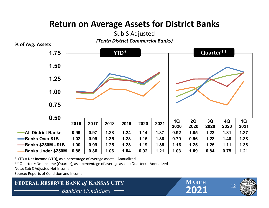# **Return on Average Assets for District Banks**



**% of Avg. Assets**



\* YTD <sup>=</sup> Net Income (YTD), as <sup>a</sup> percentage of average assets ‐ Annualized

\*\* Quarter <sup>=</sup> Net Income (Quarter), as <sup>a</sup> percentage of average assets (Quarter) – Annualized

Note: Sub S Adjusted Net Income

Source: Reports of Condition and Income



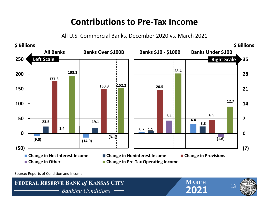### **Contributions to Pre‐Tax Income**

All U.S. Commercial Banks, December 2020 vs. March 2021



Source: Reports of Condition and Income







13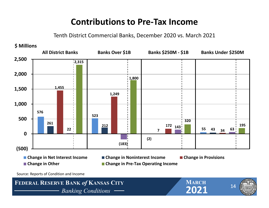### **Contributions to Pre‐Tax Income**

Tenth District Commercial Banks, December 2020 vs. March 2021



**FEDERAL RESERVE BANK of KANSAS CITY**<br> **Panking Conditions** *Banking Conditions* **2021**

**MARCH**



14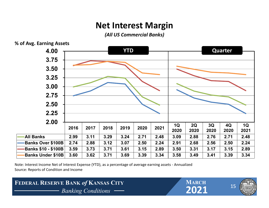# **Net Interest Margin**

*(All US Commercial Banks)*



Note: Interest Income Net of Interest Expense (YTD), as <sup>a</sup> percentage of average earning assets ‐ Annualized Source: Reports of Condition and Income

#### **FEDERAL RESERVE BANK of KANSAS CITY**<br> **Banking Conditions** — **CO21** *Banking Conditions* **2021**

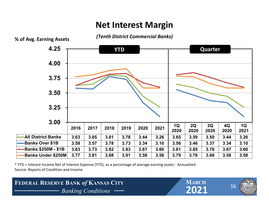## **Net Interest Margin**

*(Tenth District Commercial Banks)*



\* YTD <sup>=</sup> Interest Income Net of Interest Expense (YTD), as <sup>a</sup> percentage of average earning assets ‐ Annualized Source: Reports of Condition and Income

#### **FEDERAL RESERVE BANK of KANSAS CITY**<br> **PARKING** *Banking Conditions* — **PARKING 2021** *Banking Conditions* **2021**

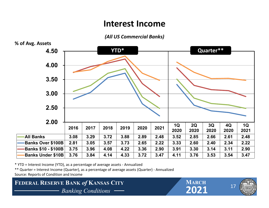#### **Interest Income**

*(All US Commercial Banks)*



\* YTD <sup>=</sup> Interest Income (YTD), as <sup>a</sup> percentage of average assets ‐ Annualized

\*\* Quarter <sup>=</sup> Interest Income (Quarter), as <sup>a</sup> percentage of average assets (Quarter) ‐ Annualized

Source: Reports of Condition and Income

**FEDERAL RESERVE BANK of KANSAS CITY**<br> **EXAMPLE BANKING CONDUCTS** *Banking Conditions* **2021**

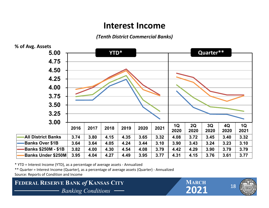#### **Interest Income**

*(Tenth District Commercial Banks)*



\* YTD <sup>=</sup> Interest Income (YTD), as <sup>a</sup> percentage of average assets ‐ Annualized

\*\* Quarter <sup>=</sup> Interest Income (Quarter), as <sup>a</sup> percentage of average assets (Quarter) ‐ Annualized

Source: Reports of Condition and Income

**FEDERAL RESERVE BANK of KANSAS CITY** MARCH MARCH **Particle 2021** *Banking Conditions* **2021**

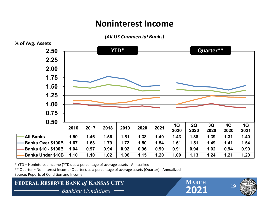# **Noninterest Income**

#### *(All US Commercial Banks)*



\* YTD <sup>=</sup> Noninterest Income (YTD), as <sup>a</sup> percentage of average assets ‐ Annualized

\*\* Quarter <sup>=</sup> Noninterest Income (Quarter), as <sup>a</sup> percentage of average assets (Quarter) ‐ Annualized Source: Reports of Condition and Income

**FEDERAL RESERVE BANK of KANSAS CITY**<br> **EXAMPLE 1999 Banking Conditions** *Banking Conditions* **2021**

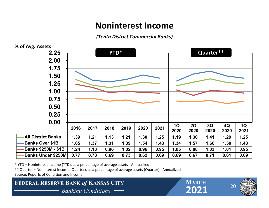### **Noninterest Income**

*(Tenth District Commercial Banks)*



\* YTD <sup>=</sup> Noninterest Income (YTD), as <sup>a</sup> percentage of average assets ‐ Annualized

\*\* Quarter <sup>=</sup> Noninterest Income (Quarter), as <sup>a</sup> percentage of average assets (Quarter) ‐ Annualized

Source: Reports of Condition and Income

**FEDERAL RESERVE BANK of KANSAS CITY**<br> **EXAMPLE 1999 Banking Conditions** *Banking Conditions* **2021**

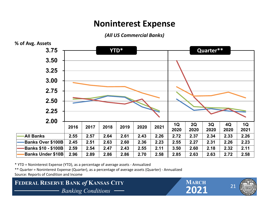# **Noninterest Expense**

*(All US Commercial Banks)*



\* YTD <sup>=</sup> Noninterest Expense (YTD), as <sup>a</sup> percentage of average assets ‐ Annualized

\*\* Quarter <sup>=</sup> Noninterest Expense (Quarter), as <sup>a</sup> percentage of average assets (Quarter) ‐ Annualized Source: Reports of Condition and Income

**FEDERAL RESERVE BANK of KANSAS CITY**<br> **FEDERAL RESERVE BANK** of **KANSAS CITY**<br> **PARKING Conditions** *Banking Conditions* **2021**

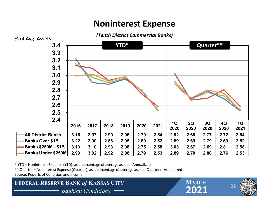# **Noninterest Expense**



\* YTD <sup>=</sup> Noninterest Expense (YTD), as <sup>a</sup> percentage of average assets ‐ Annualized

\*\* Quarter <sup>=</sup> Noninterest Expense (Quarter), as <sup>a</sup> percentage of average assets (Quarter) ‐ Annualized Source: Reports of Condition and Income

**FEDERAL RESERVE BANK of KANSAS CITY**<br> **FEDERAL RESERVE BANK** of **KANSAS CITY**<br> **PARKING Conditions** *Banking Conditions* **2021**

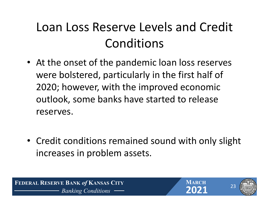# Loan Loss Reserve Levels and Credit Conditions

- At the onset of the pandemic loan loss reserves were bolstered, particularly in the first half of 2020; however, with the improved economic outlook, some banks have started to release reserves.
- Credit conditions remained sound with only slight increases in problem assets.

 **FEDERAL RESERVE BANK** *of* **KANSAS CITY** *Banking Conditions* **2021**



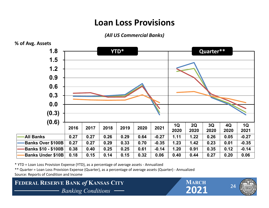# **Loan Loss Provisions**

*(All US Commercial Banks)*



\* YTD <sup>=</sup> Loan Loss Provision Expense (YTD), as <sup>a</sup> percentage of average assets ‐ Annualized

\*\* Quarter <sup>=</sup> Loan Loss Provision Expense (Quarter), as <sup>a</sup> percentage of average assets (Quarter) ‐ Annualized Source: Reports of Condition and Income

**FEDERAL RESERVE BANK of KANSAS CITY**<br> **FEDERAL RESERVE BANK** of **KANSAS CITY**<br> **PARKING Conditions** *Banking Conditions* **2021**



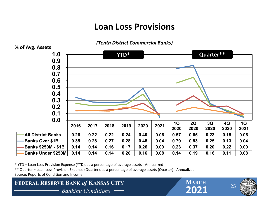# **Loan Loss Provisions**



*(Tenth District Commercial Banks)*

\* YTD <sup>=</sup> Loan Loss Provision Expense (YTD), as <sup>a</sup> percentage of average assets ‐ Annualized

\*\* Quarter <sup>=</sup> Loan Loss Provision Expense (Quarter), as <sup>a</sup> percentage of average assets (Quarter) ‐ Annualized Source: Reports of Condition and Income

**FEDERAL RESERVE BANK of KANSAS CITY** MARCH MARCH **Property** and **Property**  $\begin{array}{|c|c|c|c|c|}\n\hline\n\text{MARCH} & \text{MARCH} \\
\hline\n\end{array}$ *Banking Conditions* **2021**

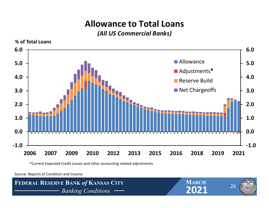# **Allowance to Total Loans**

#### *(All US Commercial Banks)*



\*Current Expected Credit Losses and other accounting related adjustments

Source: Reports of Condition and Income

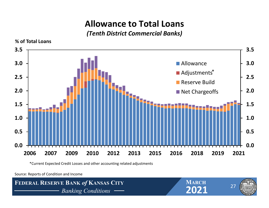# **Allowance to Total Loans**

#### *(Tenth District Commercial Banks)*



\*Current Expected Credit Losses and other accounting related adjustments

Source: Reports of Condition and Income





**MARCH**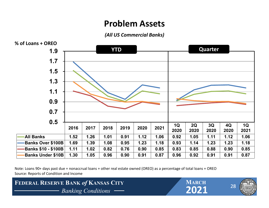### **Problem Assets**

*(All US Commercial Banks)*



Note: Loans 90+ days past due <sup>+</sup> nonaccrual loans <sup>+</sup> other real estate owned (OREO) as <sup>a</sup> percentage of total loans <sup>+</sup> OREO Source: Reports of Condition and Income

**FEDERAL RESERVE BANK of KANSAS CITY**<br> **EXAMPLE 1999 Banking Conditions** *Banking Conditions* **2021**

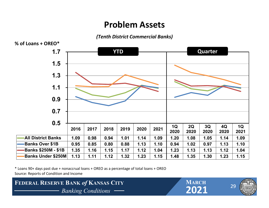### **Problem Assets**

*(Tenth District Commercial Banks)*



\* Loans 90+ days past due <sup>+</sup> nonaccrual loans <sup>+</sup> OREO as <sup>a</sup> percentage of total loans <sup>+</sup> OREO Source: Reports of Condition and Income



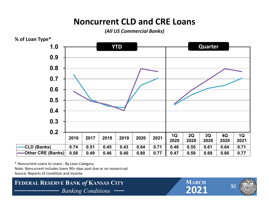# **Noncurrent CLD and CRE Loans**

*(All US Commercial Banks)*



\* Noncurrent Loans to Loans ‐ By Loan Category Note: Noncurrent includes loans 90+ days past due or on nonaccrual Source: Reports of Condition and Income

**FEDERAL RESERVE BANK of KANSAS CITY**<br> **FEDERAL RESERVE BANK** of **KANSAS CITY**<br> **PARKING** Conditions — **PARKING** 2021 *Banking Conditions* **2021**

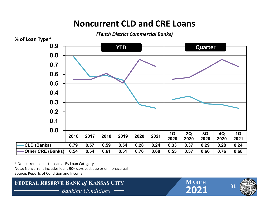# **Noncurrent CLD and CRE Loans**



\* Noncurrent Loans to Loans ‐ By Loan Category Note: Noncurrent includes loans 90+ days past due or on nonaccrual Source: Reports of Condition and Income

**FEDERAL RESERVE BANK of KANSAS CITY**<br> **EXAMPLE 1989**<br>
Banking Conditions — 2021 *Banking Conditions* **2021**

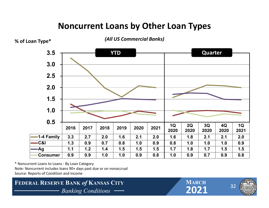# **Noncurrent Loans by Other Loan Types**



\* Noncurrent Loans to Loans ‐ By Loan Category Note: Noncurrent includes loans 90+ days past due or on nonaccrual Source: Reports of Condition and Income

**FEDERAL RESERVE BANK of KANSAS CITY**<br> **EXAMPLE BANK**<br>
Banking Conditions — **PARCH** *Banking Conditions* **2021**



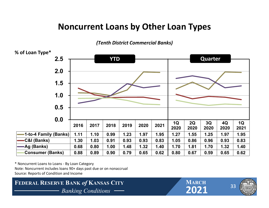## **Noncurrent Loans by Other Loan Types**

*(Tenth District Commercial Banks)*



\* Noncurrent Loans to Loans ‐ By Loan Category Note: Noncurrent includes loans 90+ days past due or on nonaccrual Source: Reports of Condition and Income



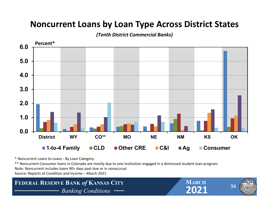### **Noncurrent Loans by Loan Type Across District States**

*(Tenth District Commercial Banks)*



\* Noncurrent Loans to Loans ‐ By Loan Category.

\*\* Noncurrent Consumer loans in Colorado are mostly due to one institution engaged in <sup>a</sup> distressed student loan program Note: Noncurrent includes loans 90+ days past due or in nonaccrual Source: Reports of Condition and Income – March 2021

**FEDERAL RESERVE BANK of KANSAS CITY**<br> **Panking Conditions** — **Panking Conditions** *Banking Conditions* **2021**

**MARCH**



34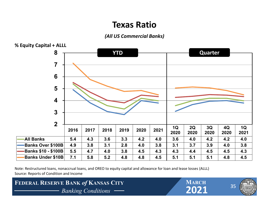### **Texas Ratio**

#### *(All US Commercial Banks)*



Note: Restructured loans, nonaccrual loans, and OREO to equity capital and allowance for loan and lease losses (ALLL) Source: Reports of Condition and Income

**FEDERAL RESERVE BANK of KANSAS CITY**<br> **Banking Conditions** — **CO21** *Banking Conditions* **2021**



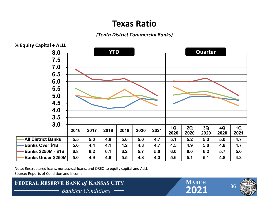### **Texas Ratio**

#### *(Tenth District Commercial Banks)*



Note: Restructured loans, nonaccrual loans, and OREO to equity capital and ALLL Source: Reports of Condition and Income



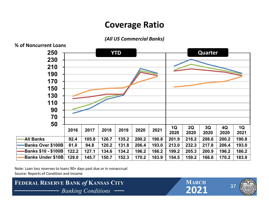### **Coverage Ratio**

#### *(All US Commercial Banks)*



**% of Noncurrent Loans**

Note: Loan loss reserves to loans 90+ days past due or in nonaccrual Source: Reports of Condition and Income



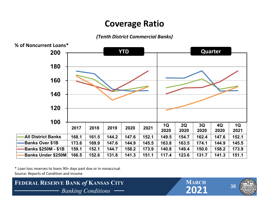# **Coverage Ratio**

*(Tenth District Commercial Banks)*



\* Loan loss reserves to loans 90+ days past due or in nonaccrual Source: Reports of Condition and Income



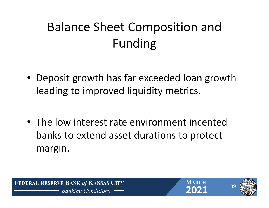# Balance Sheet Composition and Funding

- Deposit growth has far exceeded loan growth leading to improved liquidity metrics.
- The low interest rate environment incented banks to extend asset durations to protect margin.

 **FEDERAL RESERVE BANK** *of* **KANSAS CITY** *Banking Conditions* **2021**





39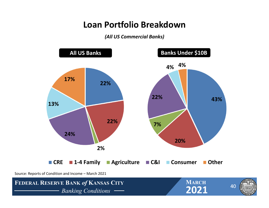### **Loan Portfolio Breakdown**

*(All US Commercial Banks)*

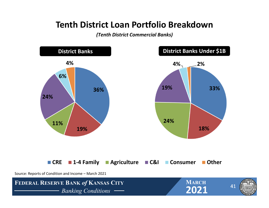### **Tenth District Loan Portfolio Breakdown**

*(Tenth District Commercial Banks)*

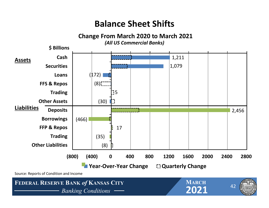# **Balance Sheet Shifts**

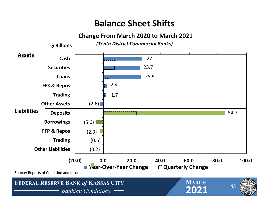# **Balance Sheet Shifts**

#### **Change From March 2020 to March 2021**

*(Tenth District Commercial Banks)*

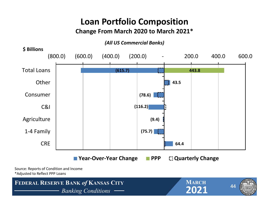# **Loan Portfolio Composition**

#### **Change From March 2020 to March 2021\***

*(All US Commercial Banks)*

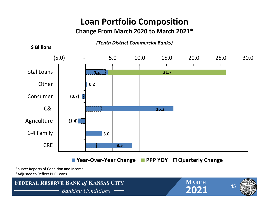# **Loan Portfolio Composition**

#### **Change From March 2020 to March 2021\***

*(Tenth District Commercial Banks)*



Source: Reports of Condition and Income \*Adjusted to Reflect PPP Loans

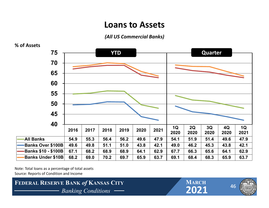#### **Loans to Assets**

#### *(All US Commercial Banks)*



Note: Total loans as a percentage of total assets Source: Reports of Condition and Income





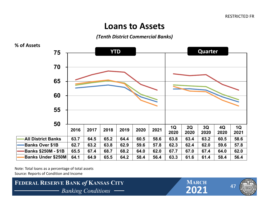#### **Loans to Assets**

#### *(Tenth District Commercial Banks)*



Note: Total loans as a percentage of total assets Source: Reports of Condition and Income







47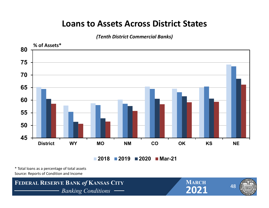### **Loans to Assets Across District States**

*(Tenth District Commercial Banks)*



\* Total loans as <sup>a</sup> percentage of total assets Source: Reports of Condition and Income

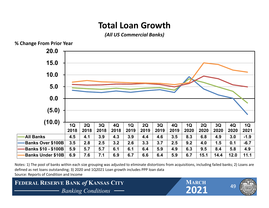# **Total Loan Growth**

*(All US Commercial Banks)*



Notes: 1) The pool of banks within each size grouping was adjusted to eliminate distortions from acquisitions, including failed banks; 2) Loans are defined as net loans outstanding; 3) 2020 and 1Q2021 Loan growth includes PPP loan data Source: Reports of Condition and Income

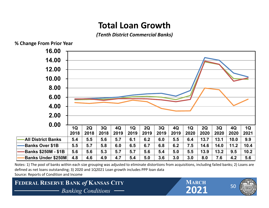# **Total Loan Growth**

*(Tenth District Commercial Banks)*



Notes: 1) The pool of banks within each size grouping was adjusted to eliminate distortions from acquisitions, including failed banks; 2) Loans are defined as net loans outstanding; 3) 2020 and 1Q2021 Loan growth includes PPP loan data Source: Reports of Condition and Income

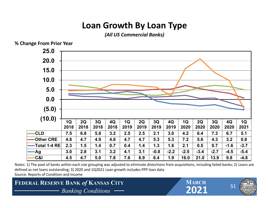# **Loan Growth By Loan Type**

*(All US Commercial Banks)*



Notes: 1) The pool of banks within each size grouping was adjusted to eliminate distortions from acquisitions, including failed banks; 2) Loans are defined as net loans outstanding; 3) 2020 and 1Q2021 Loan growth includes PPP loan data Source: Reports of Condition and Income

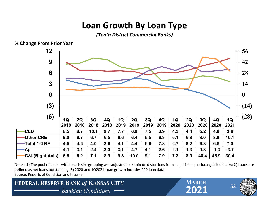# **Loan Growth By Loan Type**

*(Tenth District Commercial Banks)*



**% Change From Prior Year**

Notes: 1) The pool of banks within each size grouping was adjusted to eliminate distortions from acquisitions, including failed banks; 2) Loans are defined as net loans outstanding; 3) 2020 and 1Q2021 Loan growth includes PPP loan data Source: Reports of Condition and Income

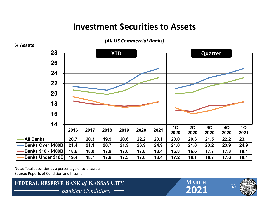### **Investment Securities to Assets**

**% Assets 2016 2017 2018 <sup>2019</sup> <sup>2020</sup> <sup>2021</sup> 1Q <sup>2020</sup> 2Q <sup>2020</sup> 3Q <sup>2020</sup> 4Q <sup>2020</sup> 1Q <sup>2021</sup> All Banks 20.7 20.3 19.9 20.6 22.2 23.1 20.0 20.3 21.5 22.2 23.1**-Banks Over \$100B 21.4 21.1 20.7 21.9 23.9 24.9 21.0 21.8 23.2 23.9 24.9 ∙Banks \$10 - \$100B│ 18.6 │ 18.0 │ 17.9 │ 17.6 │ 17.8 │ 18.4 │ 16.8 │ 16.6 │ 17.7 │ 17.8 │ 18.4 Banks Under \$10B 19.4 18.7 17.8 17.3 17.6 18.4 17.2 16.1 16.7 17.6 18.4 **1416182022242628YTDQuarter**

*(All US Commercial Banks)*

Note: Total securities as a percentage of total assets Source: Reports of Condition and Income



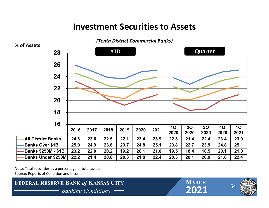### **Investment Securities to Assets**



Note: Total securities as a percentage of total assets Source: Reports of Condition and Income





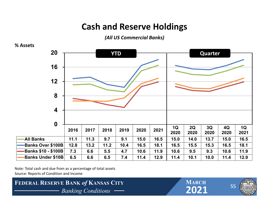# **Cash and Reserve Holdings**

*(All US Commercial Banks)*



Note: Total cash and due from as <sup>a</sup> percentage of total assets Source: Reports of Condition and Income



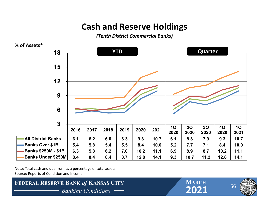# **Cash and Reserve Holdings**

*(Tenth District Commercial Banks)*



Note: Total cash and due from as <sup>a</sup> percentage of total assets Source: Reports of Condition and Income



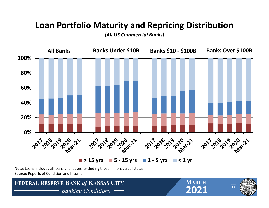### **Loan Portfolio Maturity and Repricing Distribution**

*(All US Commercial Banks)*



Note: Loans includes all loans and leases, excluding those in nonaccrual status Source: Reports of Condition and Income

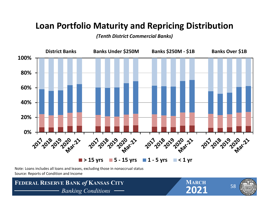# **Loan Portfolio Maturity and Repricing Distribution**

#### *(Tenth District Commercial Banks)*



Note: Loans includes all loans and leases, excluding those in nonaccrual status Source: Reports of Condition and Income

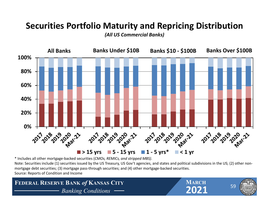# **Securities Portfolio Maturity and Repricing Distribution**

*(All US Commercial Banks)*



\* Includes all other mortgage‐backed securities (*CMOs, REMICs, and stripped MBS)*.

Note: Securities include (1) securities issued by the US Treasury, US Gov't agencies, and states and political subdivisions in the US; (2) other non‐ mortgage debt securities; (3) mortgage pass-through securities; and (4) other mortgage-backed securities. Source: Reports of Condition and Income

**FEDERAL RESERVE BANK of KANSAS CITY**<br> **PARKING Conditions** — **PARKING CONDITION** *Banking Conditions* **2021**

**MARCH**



59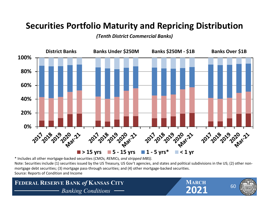# **Securities Portfolio Maturity and Repricing Distribution**

*(Tenth District Commercial Banks)*



\* Includes all other mortgage‐backed securities (*CMOs, REMICs, and stripped MBS)*.

Note: Securities include (1) securities issued by the US Treasury, US Gov't agencies, and states and political subdivisions in the US; (2) other non‐ mortgage debt securities; (3) mortgage pass-through securities; and (4) other mortgage-backed securities. Source: Reports of Condition and Income

**FEDERAL RESERVE BANK of KANSAS CITY**<br> **PARKING Conditions** — **PARKING CONDITION** *Banking Conditions* -

**MARCH**



60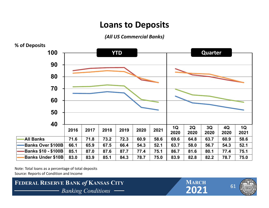### **Loans to Deposits**

*(All US Commercial Banks)*



Note: Total loans as a percentage of total deposits Source: Reports of Condition and Income



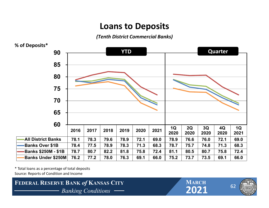### **Loans to Deposits**

*(Tenth District Commercial Banks)*



\* Total loans as <sup>a</sup> percentage of total deposits Source: Reports of Condition and Income



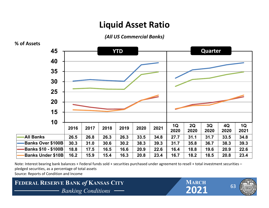# **Liquid Asset Ratio**

*(All US Commercial Banks)*



Note: Interest bearing bank balances <sup>+</sup> Federal funds sold <sup>+</sup> securities purchased under agreement to resell <sup>+</sup> total investment securities – pledged securities, as <sup>a</sup> percentage of total assets

Source: Reports of Condition and Income

**FEDERAL RESERVE BANK of KANSAS CITY**<br> **EXAMPLE 1999 Banking Conditions** *Banking Conditions* **2021**

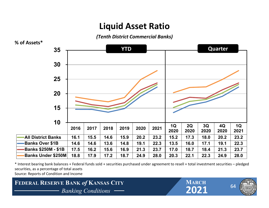## **Liquid Asset Ratio**

*(Tenth District Commercial Banks)*



\* Interest bearing bank balances <sup>+</sup> Federal funds sold <sup>+</sup> securities purchased under agreement to resell <sup>+</sup> total investment securities – pledged securities, as <sup>a</sup> percentage of total assets

Source: Reports of Condition and Income

#### **FEDERAL RESERVE BANK of KANSAS CITY**<br> **FEDERAL RESERVE BANK** of **KANSAS CITY**<br> **PARKING** Conditions — **PARKING** 2021 *Banking Conditions* **2021**

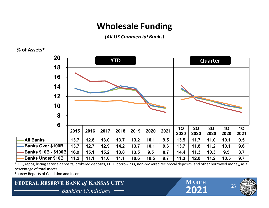# **Wholesale Funding**

*(All US Commercial Banks)*

#### **% of Assets\***



\* FFP, repos, listing service deposits, brokered deposits, FHLB borrowings, non‐brokered reciprocal deposits, and other borrowed money, as <sup>a</sup> percentage of total assets

Source: Reports of Condition and Income

#### **FEDERAL RESERVE BANK of KANSAS CITY**<br> **EXAMPLE BANKING BANK**<br> **EXAMPLE BANKING Conditions** *Banking Conditions* **2021**